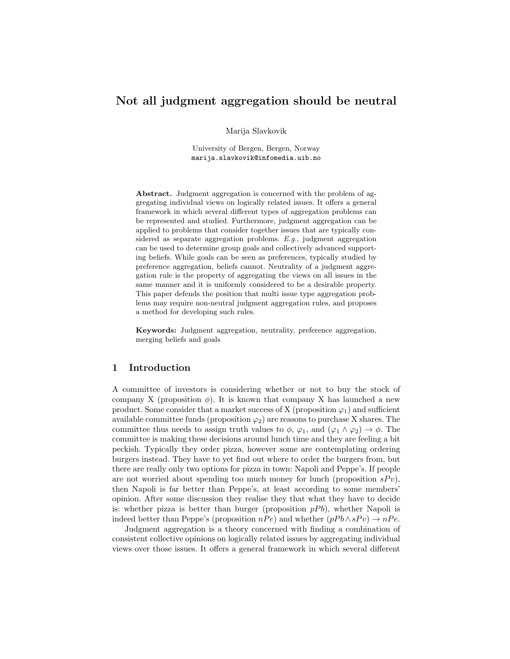# Not all judgment aggregation should be neutral

Marija Slavkovik

University of Bergen, Bergen, Norway marija.slavkovik@infomedia.uib.no

Abstract. Judgment aggregation is concerned with the problem of aggregating individual views on logically related issues. It offers a general framework in which several different types of aggregation problems can be represented and studied. Furthermore, judgment aggregation can be applied to problems that consider together issues that are typically considered as separate aggregation problems. E.g., judgment aggregation can be used to determine group goals and collectively advanced supporting beliefs. While goals can be seen as preferences, typically studied by preference aggregation, beliefs cannot. Neutrality of a judgment aggregation rule is the property of aggregating the views on all issues in the same manner and it is uniformly considered to be a desirable property. This paper defends the position that multi issue type aggregation problems may require non-neutral judgment aggregation rules, and proposes a method for developing such rules.

Keywords: Judgment aggregation, neutrality, preference aggregation, merging beliefs and goals

# 1 Introduction

A committee of investors is considering whether or not to buy the stock of company X (proposition  $\phi$ ). It is known that company X has launched a new product. Some consider that a market success of X (proposition  $\varphi_1$ ) and sufficient available committee funds (proposition  $\varphi_2$ ) are reasons to purchase X shares. The committee thus needs to assign truth values to  $\phi$ ,  $\varphi_1$ , and  $(\varphi_1 \wedge \varphi_2) \rightarrow \phi$ . The committee is making these decisions around lunch time and they are feeling a bit peckish. Typically they order pizza, however some are contemplating ordering burgers instead. They have to yet find out where to order the burgers from, but there are really only two options for pizza in town: Napoli and Peppe's. If people are not worried about spending too much money for lunch (proposition  $sPv$ ), then Napoli is far better than Peppe's, at least according to some members' opinion. After some discussion they realise they that what they have to decide is: whether pizza is better than burger (proposition  $pPb$ ), whether Napoli is indeed better than Peppe's (proposition  $nP e$ ) and whether  $(pPb \wedge sP v) \rightarrow nPe$ .

Judgment aggregation is a theory concerned with finding a combination of consistent collective opinions on logically related issues by aggregating individual views over those issues. It offers a general framework in which several different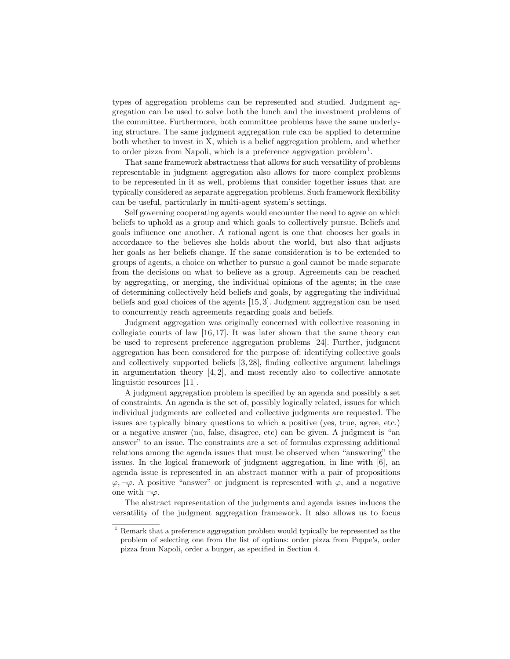types of aggregation problems can be represented and studied. Judgment aggregation can be used to solve both the lunch and the investment problems of the committee. Furthermore, both committee problems have the same underlying structure. The same judgment aggregation rule can be applied to determine both whether to invest in X, which is a belief aggregation problem, and whether to order pizza from Napoli, which is a preference aggregation problem<sup>1</sup>.

That same framework abstractness that allows for such versatility of problems representable in judgment aggregation also allows for more complex problems to be represented in it as well, problems that consider together issues that are typically considered as separate aggregation problems. Such framework flexibility can be useful, particularly in multi-agent system's settings.

Self governing cooperating agents would encounter the need to agree on which beliefs to uphold as a group and which goals to collectively pursue. Beliefs and goals influence one another. A rational agent is one that chooses her goals in accordance to the believes she holds about the world, but also that adjusts her goals as her beliefs change. If the same consideration is to be extended to groups of agents, a choice on whether to pursue a goal cannot be made separate from the decisions on what to believe as a group. Agreements can be reached by aggregating, or merging, the individual opinions of the agents; in the case of determining collectively held beliefs and goals, by aggregating the individual beliefs and goal choices of the agents [15, 3]. Judgment aggregation can be used to concurrently reach agreements regarding goals and beliefs.

Judgment aggregation was originally concerned with collective reasoning in collegiate courts of law [16, 17]. It was later shown that the same theory can be used to represent preference aggregation problems [24]. Further, judgment aggregation has been considered for the purpose of: identifying collective goals and collectively supported beliefs [3, 28], finding collective argument labelings in argumentation theory  $[4, 2]$ , and most recently also to collective annotate linguistic resources [11].

A judgment aggregation problem is specified by an agenda and possibly a set of constraints. An agenda is the set of, possibly logically related, issues for which individual judgments are collected and collective judgments are requested. The issues are typically binary questions to which a positive (yes, true, agree, etc.) or a negative answer (no, false, disagree, etc) can be given. A judgment is "an answer" to an issue. The constraints are a set of formulas expressing additional relations among the agenda issues that must be observed when "answering" the issues. In the logical framework of judgment aggregation, in line with [6], an agenda issue is represented in an abstract manner with a pair of propositions  $\varphi, \neg \varphi$ . A positive "answer" or judgment is represented with  $\varphi$ , and a negative one with  $\neg \varphi$ .

The abstract representation of the judgments and agenda issues induces the versatility of the judgment aggregation framework. It also allows us to focus

<sup>&</sup>lt;sup>1</sup> Remark that a preference aggregation problem would typically be represented as the problem of selecting one from the list of options: order pizza from Peppe's, order pizza from Napoli, order a burger, as specified in Section 4.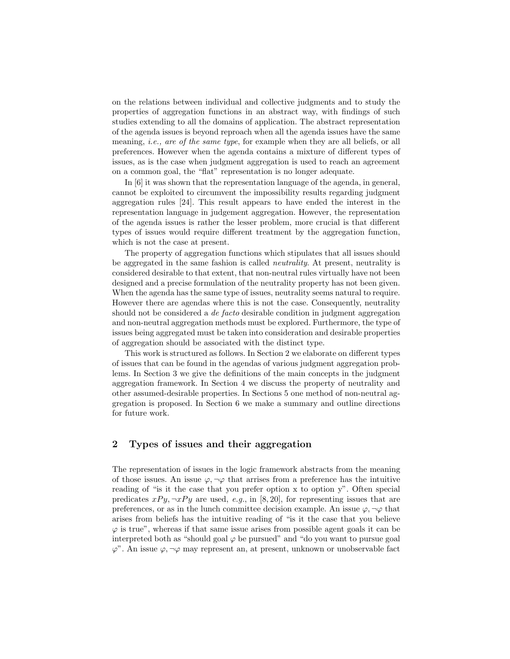on the relations between individual and collective judgments and to study the properties of aggregation functions in an abstract way, with findings of such studies extending to all the domains of application. The abstract representation of the agenda issues is beyond reproach when all the agenda issues have the same meaning, *i.e.*, are of the same type, for example when they are all beliefs, or all preferences. However when the agenda contains a mixture of different types of issues, as is the case when judgment aggregation is used to reach an agreement on a common goal, the "flat" representation is no longer adequate.

In  $[6]$  it was shown that the representation language of the agenda, in general, cannot be exploited to circumvent the impossibility results regarding judgment aggregation rules [24]. This result appears to have ended the interest in the representation language in judgement aggregation. However, the representation of the agenda issues is rather the lesser problem, more crucial is that different types of issues would require different treatment by the aggregation function, which is not the case at present.

The property of aggregation functions which stipulates that all issues should be aggregated in the same fashion is called neutrality. At present, neutrality is considered desirable to that extent, that non-neutral rules virtually have not been designed and a precise formulation of the neutrality property has not been given. When the agenda has the same type of issues, neutrality seems natural to require. However there are agendas where this is not the case. Consequently, neutrality should not be considered a *de facto* desirable condition in judgment aggregation and non-neutral aggregation methods must be explored. Furthermore, the type of issues being aggregated must be taken into consideration and desirable properties of aggregation should be associated with the distinct type.

This work is structured as follows. In Section 2 we elaborate on different types of issues that can be found in the agendas of various judgment aggregation problems. In Section 3 we give the definitions of the main concepts in the judgment aggregation framework. In Section 4 we discuss the property of neutrality and other assumed-desirable properties. In Sections 5 one method of non-neutral aggregation is proposed. In Section 6 we make a summary and outline directions for future work.

### 2 Types of issues and their aggregation

The representation of issues in the logic framework abstracts from the meaning of those issues. An issue  $\varphi, \neg \varphi$  that arrises from a preference has the intuitive reading of "is it the case that you prefer option x to option y". Often special predicates  $xPy, \neg xPy$  are used, e.g., in [8, 20], for representing issues that are preferences, or as in the lunch committee decision example. An issue  $\varphi, \neg \varphi$  that arises from beliefs has the intuitive reading of "is it the case that you believe  $\varphi$  is true", whereas if that same issue arises from possible agent goals it can be interpreted both as "should goal  $\varphi$  be pursued" and "do you want to pursue goal  $\varphi$ ". An issue  $\varphi, \neg \varphi$  may represent an, at present, unknown or unobservable fact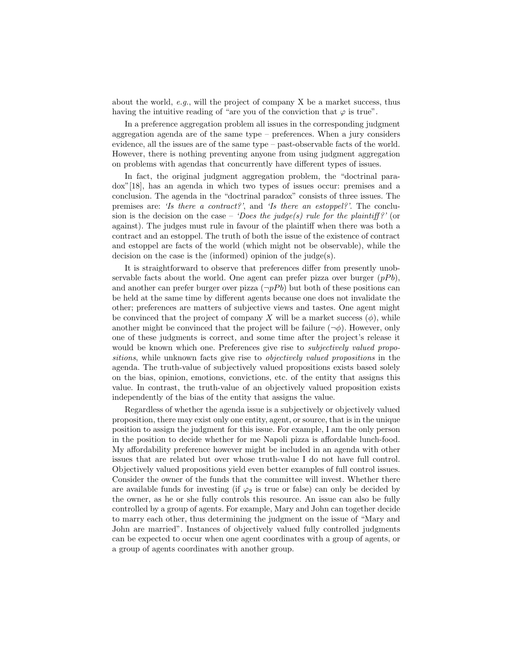about the world,  $e.g.,$  will the project of company X be a market success, thus having the intuitive reading of "are you of the conviction that  $\varphi$  is true".

In a preference aggregation problem all issues in the corresponding judgment aggregation agenda are of the same type – preferences. When a jury considers evidence, all the issues are of the same type – past-observable facts of the world. However, there is nothing preventing anyone from using judgment aggregation on problems with agendas that concurrently have different types of issues.

In fact, the original judgment aggregation problem, the "doctrinal paradox"[18], has an agenda in which two types of issues occur: premises and a conclusion. The agenda in the "doctrinal paradox" consists of three issues. The premises are: 'Is there a contract?', and 'Is there an estoppel?'. The conclusion is the decision on the case – 'Does the judge(s) rule for the plaintiff?' (or against). The judges must rule in favour of the plaintiff when there was both a contract and an estoppel. The truth of both the issue of the existence of contract and estoppel are facts of the world (which might not be observable), while the decision on the case is the (informed) opinion of the judge(s).

It is straightforward to observe that preferences differ from presently unobservable facts about the world. One agent can prefer pizza over burger  $(pPb)$ , and another can prefer burger over pizza  $(\neg pPb)$  but both of these positions can be held at the same time by different agents because one does not invalidate the other; preferences are matters of subjective views and tastes. One agent might be convinced that the project of company X will be a market success  $(\phi)$ , while another might be convinced that the project will be failure  $(\neg \phi)$ . However, only one of these judgments is correct, and some time after the project's release it would be known which one. Preferences give rise to *subjectively valued propo*sitions, while unknown facts give rise to objectively valued propositions in the agenda. The truth-value of subjectively valued propositions exists based solely on the bias, opinion, emotions, convictions, etc. of the entity that assigns this value. In contrast, the truth-value of an objectively valued proposition exists independently of the bias of the entity that assigns the value.

Regardless of whether the agenda issue is a subjectively or objectively valued proposition, there may exist only one entity, agent, or source, that is in the unique position to assign the judgment for this issue. For example, I am the only person in the position to decide whether for me Napoli pizza is affordable lunch-food. My affordability preference however might be included in an agenda with other issues that are related but over whose truth-value I do not have full control. Objectively valued propositions yield even better examples of full control issues. Consider the owner of the funds that the committee will invest. Whether there are available funds for investing (if  $\varphi_2$  is true or false) can only be decided by the owner, as he or she fully controls this resource. An issue can also be fully controlled by a group of agents. For example, Mary and John can together decide to marry each other, thus determining the judgment on the issue of "Mary and John are married". Instances of objectively valued fully controlled judgments can be expected to occur when one agent coordinates with a group of agents, or a group of agents coordinates with another group.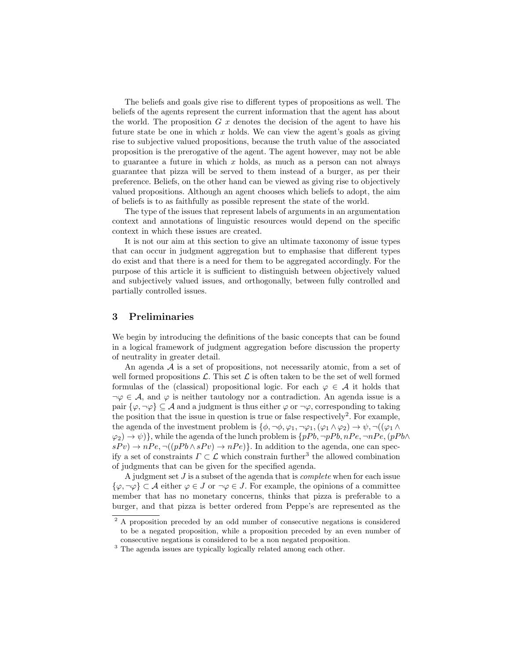The beliefs and goals give rise to different types of propositions as well. The beliefs of the agents represent the current information that the agent has about the world. The proposition  $G\ x$  denotes the decision of the agent to have his future state be one in which  $x$  holds. We can view the agent's goals as giving rise to subjective valued propositions, because the truth value of the associated proposition is the prerogative of the agent. The agent however, may not be able to guarantee a future in which  $x$  holds, as much as a person can not always guarantee that pizza will be served to them instead of a burger, as per their preference. Beliefs, on the other hand can be viewed as giving rise to objectively valued propositions. Although an agent chooses which beliefs to adopt, the aim of beliefs is to as faithfully as possible represent the state of the world.

The type of the issues that represent labels of arguments in an argumentation context and annotations of linguistic resources would depend on the specific context in which these issues are created.

It is not our aim at this section to give an ultimate taxonomy of issue types that can occur in judgment aggregation but to emphasise that different types do exist and that there is a need for them to be aggregated accordingly. For the purpose of this article it is sufficient to distinguish between objectively valued and subjectively valued issues, and orthogonally, between fully controlled and partially controlled issues.

#### 3 Preliminaries

We begin by introducing the definitions of the basic concepts that can be found in a logical framework of judgment aggregation before discussion the property of neutrality in greater detail.

An agenda  $A$  is a set of propositions, not necessarily atomic, from a set of well formed propositions  $\mathcal{L}$ . This set  $\mathcal{L}$  is often taken to be the set of well formed formulas of the (classical) propositional logic. For each  $\varphi \in \mathcal{A}$  it holds that  $\neg \varphi \in \mathcal{A}$ , and  $\varphi$  is neither tautology nor a contradiction. An agenda issue is a pair  $\{\varphi, \neg \varphi\} \subseteq A$  and a judgment is thus either  $\varphi$  or  $\neg \varphi$ , corresponding to taking the position that the issue in question is true or false respectively<sup>2</sup>. For example, the agenda of the investment problem is  $\{\phi, \neg \phi, \varphi_1, \neg \varphi_1, (\varphi_1 \wedge \varphi_2) \rightarrow \psi, \neg ((\varphi_1 \wedge$  $\{\varphi_2\} \to \psi$ }, while the agenda of the lunch problem is  $\{pPb, \neg pPb, nPe, \neg nPe, (pPb \wedge \psi)\}$  $sP v) \rightarrow nPe, \neg((pP b \wedge sP v) \rightarrow nPe)$ . In addition to the agenda, one can specify a set of constraints  $\Gamma \subset \mathcal{L}$  which constrain further<sup>3</sup> the allowed combination of judgments that can be given for the specified agenda.

A judgment set  $J$  is a subset of the agenda that is *complete* when for each issue  $\{\varphi, \neg \varphi\} \subset \mathcal{A}$  either  $\varphi \in J$  or  $\neg \varphi \in J$ . For example, the opinions of a committee member that has no monetary concerns, thinks that pizza is preferable to a burger, and that pizza is better ordered from Peppe's are represented as the

<sup>&</sup>lt;sup>2</sup> A proposition preceded by an odd number of consecutive negations is considered to be a negated proposition, while a proposition preceded by an even number of consecutive negations is considered to be a non negated proposition.

<sup>&</sup>lt;sup>3</sup> The agenda issues are typically logically related among each other.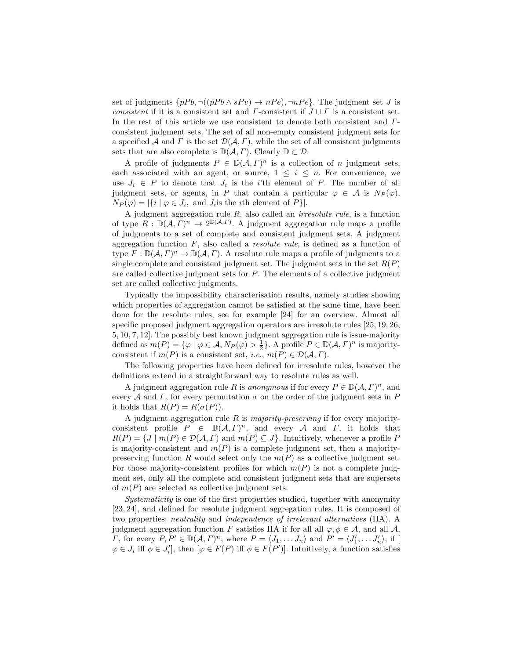set of judgments  $\{pPb, \neg((pPb \land sPv) \rightarrow nPe), \neg nPe\}$ . The judgment set J is consistent if it is a consistent set and  $\Gamma$ -consistent if  $J \cup \Gamma$  is a consistent set. In the rest of this article we use consistent to denote both consistent and Γconsistent judgment sets. The set of all non-empty consistent judgment sets for a specified A and  $\Gamma$  is the set  $\mathcal{D}(\mathcal{A}, \Gamma)$ , while the set of all consistent judgments sets that are also complete is  $\mathbb{D}(\mathcal{A}, \Gamma)$ . Clearly  $\mathbb{D} \subset \mathcal{D}$ .

A profile of judgments  $P \in D(A, \Gamma)^n$  is a collection of n judgment sets, each associated with an agent, or source,  $1 \leq i \leq n$ . For convenience, we use  $J_i \in P$  to denote that  $J_i$  is the *i*'th element of P. The number of all judgment sets, or agents, in P that contain a particular  $\varphi \in \mathcal{A}$  is  $N_P(\varphi)$ ,  $N_P(\varphi) = |\{i \mid \varphi \in J_i, \text{ and } J_i \text{ is the } i \text{th element of } P\}|.$ 

A judgment aggregation rule  $R$ , also called an *irresolute rule*, is a function of type  $R : \mathbb{D}(\mathcal{A}, \widetilde{\Gamma})^n \to 2^{\mathbb{D}(\mathcal{A}, \Gamma)}$ . A judgment aggregation rule maps a profile of judgments to a set of complete and consistent judgment sets. A judgment aggregation function  $F$ , also called a *resolute rule*, is defined as a function of type  $F: \mathbb{D}(\mathcal{A}, \Gamma)^n \to \mathbb{D}(\mathcal{A}, \Gamma)$ . A resolute rule maps a profile of judgments to a single complete and consistent judgment set. The judgment sets in the set  $R(P)$ are called collective judgment sets for P. The elements of a collective judgment set are called collective judgments.

Typically the impossibility characterisation results, namely studies showing which properties of aggregation cannot be satisfied at the same time, have been done for the resolute rules, see for example [24] for an overview. Almost all specific proposed judgment aggregation operators are irresolute rules [25, 19, 26, 5, 10, 7, 12]. The possibly best known judgment aggregation rule is issue-majority defined as  $m(P) = \{ \varphi \mid \varphi \in \mathcal{A}, N_P(\varphi) > \frac{1}{2} \}.$  A profile  $P \in \mathbb{D}(\mathcal{A}, \Gamma)^n$  is majorityconsistent if  $m(P)$  is a consistent set, *i.e.*,  $m(P) \in \mathcal{D}(\mathcal{A}, \Gamma)$ .

The following properties have been defined for irresolute rules, however the definitions extend in a straightforward way to resolute rules as well.

A judgment aggregation rule R is anonymous if for every  $P \in D(\mathcal{A}, \Gamma)^n$ , and every A and Γ, for every permutation  $\sigma$  on the order of the judgment sets in P it holds that  $R(P) = R(\sigma(P)).$ 

A judgment aggregation rule R is *majority-preserving* if for every majorityconsistent profile  $P \in D(\mathcal{A}, \Gamma)^n$ , and every A and  $\Gamma$ , it holds that  $R(P) = \{J \mid m(P) \in \mathcal{D}(\mathcal{A}, \Gamma) \text{ and } m(P) \subseteq J\}.$  Intuitively, whenever a profile P is majority-consistent and  $m(P)$  is a complete judgment set, then a majoritypreserving function R would select only the  $m(P)$  as a collective judgment set. For those majority-consistent profiles for which  $m(P)$  is not a complete judgment set, only all the complete and consistent judgment sets that are supersets of  $m(P)$  are selected as collective judgment sets.

Systematicity is one of the first properties studied, together with anonymity [23, 24], and defined for resolute judgment aggregation rules. It is composed of two properties: neutrality and independence of irrelevant alternatives (IIA). A judgment aggregation function F satisfies IIA if for all all  $\varphi, \phi \in \mathcal{A}$ , and all  $\mathcal{A}$ , *Γ*, for every  $P, P' \in \mathbb{D}(\mathcal{A}, \Gamma)^n$ , where  $P = \langle J_1, \ldots, J_n \rangle$  and  $P' = \langle J'_1, \ldots, J'_n \rangle$ , if [  $\varphi \in J_i$  iff  $\phi \in J'_i$ , then  $[\varphi \in F(P)]$  iff  $\phi \in F(P')$ . Intuitively, a function satisfies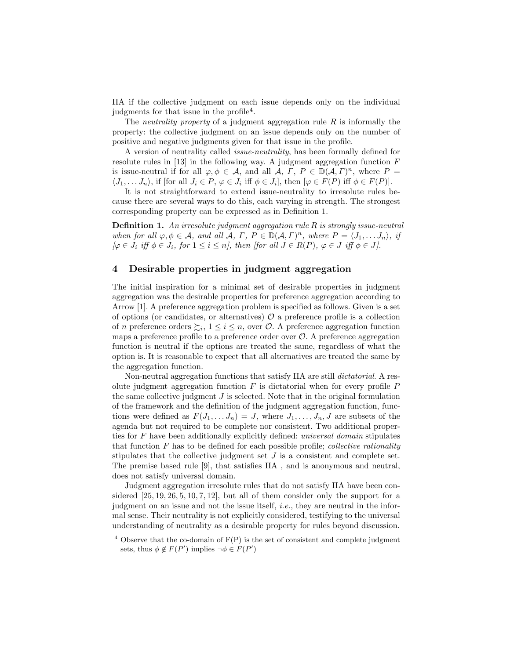IIA if the collective judgment on each issue depends only on the individual judgments for that issue in the profile<sup>4</sup>.

The *neutrality property* of a judgment aggregation rule  $R$  is informally the property: the collective judgment on an issue depends only on the number of positive and negative judgments given for that issue in the profile.

A version of neutrality called issue-neutrality, has been formally defined for resolute rules in  $[13]$  in the following way. A judgment aggregation function  $F$ is issue-neutral if for all  $\varphi, \phi \in \mathcal{A}$ , and all  $\mathcal{A}, \Gamma, P \in \mathbb{D}(\mathcal{A}, \Gamma)^n$ , where  $P =$  $\langle J_1, \ldots, J_n \rangle$ , if [for all  $J_i \in P$ ,  $\varphi \in J_i$  iff  $\phi \in J_i$ ], then  $[\varphi \in F(P)]$  iff  $\phi \in F(P)$ ].

It is not straightforward to extend issue-neutrality to irresolute rules because there are several ways to do this, each varying in strength. The strongest corresponding property can be expressed as in Definition 1.

**Definition 1.** An irresolute judgment aggregation rule  $R$  is strongly issue-neutral when for all  $\varphi, \phi \in \mathcal{A}$ , and all  $\mathcal{A}, \Gamma, P \in \mathbb{D}(\mathcal{A}, \Gamma)^n$ , where  $P = \langle J_1, \ldots J_n \rangle$ , if  $[\varphi \in J_i \text{ iff } \phi \in J_i, \text{ for } 1 \leq i \leq n], \text{ then [for all } J \in R(P), \varphi \in J \text{ iff } \phi \in J].$ 

# 4 Desirable properties in judgment aggregation

The initial inspiration for a minimal set of desirable properties in judgment aggregation was the desirable properties for preference aggregation according to Arrow [1]. A preference aggregation problem is specified as follows. Given is a set of options (or candidates, or alternatives)  $\mathcal O$  a preference profile is a collection of n preference orders  $\sum_i, 1 \leq i \leq n$ , over  $\mathcal{O}$ . A preference aggregation function maps a preference profile to a preference order over  $O$ . A preference aggregation function is neutral if the options are treated the same, regardless of what the option is. It is reasonable to expect that all alternatives are treated the same by the aggregation function.

Non-neutral aggregation functions that satisfy IIA are still dictatorial. A resolute judgment aggregation function  $F$  is dictatorial when for every profile  $P$ the same collective judgment  $J$  is selected. Note that in the original formulation of the framework and the definition of the judgment aggregation function, functions were defined as  $F(J_1, \ldots, J_n) = J$ , where  $J_1, \ldots, J_n, J$  are subsets of the agenda but not required to be complete nor consistent. Two additional properties for F have been additionally explicitly defined: universal domain stipulates that function  $F$  has to be defined for each possible profile; *collective rationality* stipulates that the collective judgment set  $J$  is a consistent and complete set. The premise based rule [9], that satisfies IIA , and is anonymous and neutral, does not satisfy universal domain.

Judgment aggregation irresolute rules that do not satisfy IIA have been considered  $[25, 19, 26, 5, 10, 7, 12]$ , but all of them consider only the support for a judgment on an issue and not the issue itself, *i.e.*, they are neutral in the informal sense. Their neutrality is not explicitly considered, testifying to the universal understanding of neutrality as a desirable property for rules beyond discussion.

 $4$  Observe that the co-domain of  $F(P)$  is the set of consistent and complete judgment sets, thus  $\phi \notin F(P')$  implies  $\neg \phi \in F(P')$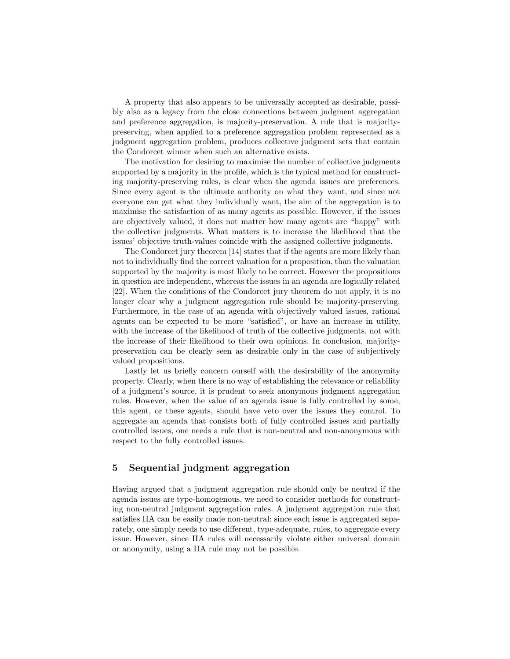A property that also appears to be universally accepted as desirable, possibly also as a legacy from the close connections between judgment aggregation and preference aggregation, is majority-preservation. A rule that is majoritypreserving, when applied to a preference aggregation problem represented as a judgment aggregation problem, produces collective judgment sets that contain the Condorcet winner when such an alternative exists.

The motivation for desiring to maximise the number of collective judgments supported by a majority in the profile, which is the typical method for constructing majority-preserving rules, is clear when the agenda issues are preferences. Since every agent is the ultimate authority on what they want, and since not everyone can get what they individually want, the aim of the aggregation is to maximise the satisfaction of as many agents as possible. However, if the issues are objectively valued, it does not matter how many agents are "happy" with the collective judgments. What matters is to increase the likelihood that the issues' objective truth-values coincide with the assigned collective judgments.

The Condorcet jury theorem [14] states that if the agents are more likely than not to individually find the correct valuation for a proposition, than the valuation supported by the majority is most likely to be correct. However the propositions in question are independent, whereas the issues in an agenda are logically related [22]. When the conditions of the Condorcet jury theorem do not apply, it is no longer clear why a judgment aggregation rule should be majority-preserving. Furthermore, in the case of an agenda with objectively valued issues, rational agents can be expected to be more "satisfied", or have an increase in utility, with the increase of the likelihood of truth of the collective judgments, not with the increase of their likelihood to their own opinions. In conclusion, majoritypreservation can be clearly seen as desirable only in the case of subjectively valued propositions.

Lastly let us briefly concern ourself with the desirability of the anonymity property. Clearly, when there is no way of establishing the relevance or reliability of a judgment's source, it is prudent to seek anonymous judgment aggregation rules. However, when the value of an agenda issue is fully controlled by some, this agent, or these agents, should have veto over the issues they control. To aggregate an agenda that consists both of fully controlled issues and partially controlled issues, one needs a rule that is non-neutral and non-anonymous with respect to the fully controlled issues.

# 5 Sequential judgment aggregation

Having argued that a judgment aggregation rule should only be neutral if the agenda issues are type-homogenous, we need to consider methods for constructing non-neutral judgment aggregation rules. A judgment aggregation rule that satisfies IIA can be easily made non-neutral: since each issue is aggregated separately, one simply needs to use different, type-adequate, rules, to aggregate every issue. However, since IIA rules will necessarily violate either universal domain or anonymity, using a IIA rule may not be possible.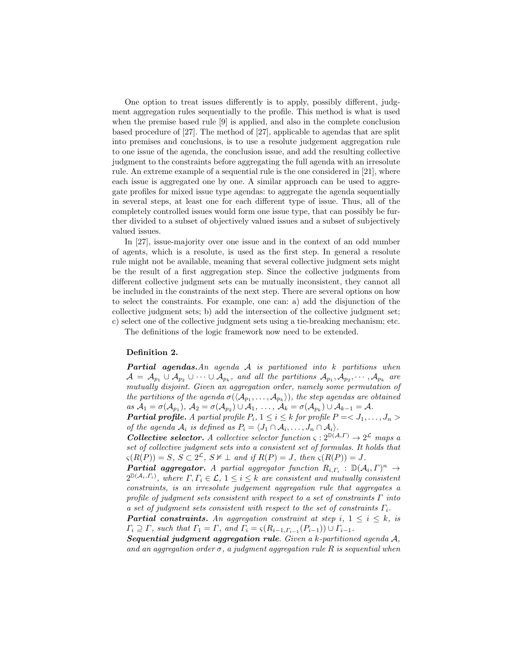One option to treat issues differently is to apply, possibly different, judgment aggregation rules sequentially to the profile. This method is what is used when the premise based rule [9] is applied, and also in the complete conclusion based procedure of [27]. The method of [27], applicable to agendas that are split into premises and conclusions, is to use a resolute judgement aggregation rule to one issue of the agenda, the conclusion issue, and add the resulting collective judgment to the constraints before aggregating the full agenda with an irresolute rule. An extreme example of a sequential rule is the one considered in [21], where each issue is aggregated one by one. A similar approach can be used to aggregate profiles for mixed issue type agendas: to aggregate the agenda sequentially in several steps, at least one for each different type of issue. Thus, all of the completely controlled issues would form one issue type, that can possibly be further divided to a subset of objectively valued issues and a subset of subjectively valued issues.

In [27], issue-majority over one issue and in the context of an odd number of agents, which is a resolute, is used as the first step. In general a resolute rule might not be available, meaning that several collective judgment sets might be the result of a first aggregation step. Since the collective judgments from different collective judgment sets can be mutually inconsistent, they cannot all be included in the constraints of the next step. There are several options on how to select the constraints. For example, one can: a) add the disjunction of the collective judgment sets; b) add the intersection of the collective judgment set; c) select one of the collective judgment sets using a tie-breaking mechanism; etc.

The definitions of the logic framework now need to be extended.

#### Definition 2.

Partial agendas. An agenda A is partitioned into k partitions when  $\mathcal{A} \,=\, \mathcal{A}_{p_1} \cup \mathcal{A}_{p_2} \cup \cdots \cup \mathcal{A}_{p_k}, \,\, and \,\, all \,\, the \,\, partitions \,\, \mathcal{A}_{p_1}, \mathcal{A}_{p_2}, \cdots, \mathcal{A}_{p_k} \,\, are$ mutually disjoint. Given an aggregation order, namely some permutation of the partitions of the agenda  $\sigma(\langle\mathcal{A}_{p_1},\ldots,\mathcal{A}_{p_k}\rangle)$ , the step agendas are obtained  $as\ \mathcal{A}_1=\sigma(\mathcal{A}_{p_1}),\ \mathcal{A}_2=\sigma(\mathcal{A}_{p_2})\cup \mathcal{A}_1,\ \ldots,\ \mathcal{A}_k=\sigma(\mathcal{A}_{p_k})\cup \mathcal{A}_{k-1}=\mathcal{A}.$ 

**Partial profile.** A partial profile  $P_i$ ,  $1 \leq i \leq k$  for profile  $P = \langle J_1, \ldots, J_n \rangle$ of the agenda  $A_i$  is defined as  $P_i = \langle J_1 \cap A_i, \ldots, J_n \cap A_i \rangle$ .

**Collective selector.** A collective selector function  $\varsigma : 2^{\mathbb{D}(\mathcal{A}, \Gamma)} \to 2^{\mathcal{L}}$  maps a set of collective judgment sets into a consistent set of formulas. It holds that  $\varsigma(R(P)) = S, S \subset 2^{\mathcal{L}}, S \nvDash \perp \text{ and if } R(P) = J, \text{ then } \varsigma(R(P)) = J.$ 

**Partial aggregator.** A partial aggregator function  $R_{i,\Gamma_i}$ :  $\mathbb{D}(\mathcal{A}_i,\Gamma)^n \to$  $2^{\mathbb{D}(\mathcal{A}_i,\Gamma_i)}$ , where  $\Gamma,\Gamma_i\in\mathcal{L},\ 1\leq i\leq k$  are consistent and mutually consistent constraints, is an irresolute judgement aggregation rule that aggregates a profile of judgment sets consistent with respect to a set of constraints  $\Gamma$  into a set of judgment sets consistent with respect to the set of constraints  $\Gamma_i$ .

**Partial constraints.** An aggregation constraint at step i,  $1 \leq i \leq k$ , is  $\Gamma_i \supseteq \Gamma$ , such that  $\Gamma_1 = \Gamma$ , and  $\Gamma_i = \varsigma(R_{i-1,\Gamma_{i-1}}(P_{i-1})) \cup \Gamma_{i-1}$ .

**Sequential judgment aggregation rule.** Given a  $k$ -partitioned agenda  $A$ , and an aggregation order  $\sigma$ , a judgment aggregation rule R is sequential when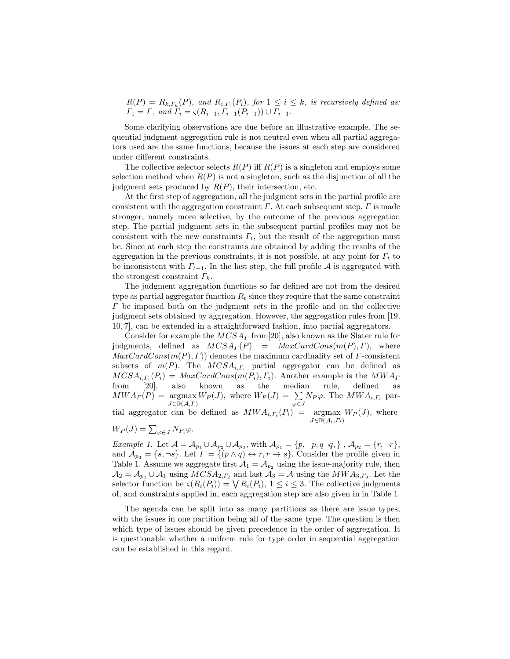$R(P) = R_{k,\Gamma_k}(P)$ , and  $R_{i,\Gamma_i}(P_i)$ , for  $1 \leq i \leq k$ , is recursively defined as:  $\Gamma_1 = \Gamma$ , and  $\Gamma_i = \varsigma(R_{i-1}, \Gamma_{i-1}(P_{i-1})) \cup \Gamma_{i-1}$ .

Some clarifying observations are due before an illustrative example. The sequential judgment aggregation rule is not neutral even when all partial aggregators used are the same functions, because the issues at each step are considered under different constraints.

The collective selector selects  $R(P)$  iff  $R(P)$  is a singleton and employs some selection method when  $R(P)$  is not a singleton, such as the disjunction of all the judgment sets produced by  $R(P)$ , their intersection, etc.

At the first step of aggregation, all the judgment sets in the partial profile are consistent with the aggregation constraint  $\Gamma$ . At each subsequent step,  $\Gamma$  is made stronger, namely more selective, by the outcome of the previous aggregation step. The partial judgment sets in the subsequent partial profiles may not be consistent with the new constraints  $\Gamma_t$ , but the result of the aggregation must be. Since at each step the constraints are obtained by adding the results of the aggregation in the previous constraints, it is not possible, at any point for  $\Gamma_t$  to be inconsistent with  $\Gamma_{t+1}$ . In the last step, the full profile A is aggregated with the strongest constraint  $\Gamma_k$ .

The judgment aggregation functions so far defined are not from the desired type as partial aggregator function  $R_t$  since they require that the same constraint  $\Gamma$  be imposed both on the judgment sets in the profile and on the collective judgment sets obtained by aggregation. However, the aggregation rules from [19, 10, 7], can be extended in a straightforward fashion, into partial aggregators.

Consider for example the  $MCSA<sub>\Gamma</sub>$  from [20], also known as the Slater rule for judgments, defined as  $MCSA<sub>\Gamma</sub>(P) = MaxCardCons(m(P), \Gamma)$ , where  $MaxCardCons(m(P), \Gamma)$  denotes the maximum cardinality set of  $\Gamma$ -consistent subsets of  $m(P)$ . The  $MCSA_{i,\Gamma_i}$  partial aggregator can be defined as  $MCSA_{i,\Gamma_i}(P_i) = MaxCardCons(m(P_i), \Gamma_i)$ . Another example is the  $MWA_{\Gamma}$ from [20], also known as the median rule, defined as  $MWA_{\Gamma}(P) = \operatorname*{argmax}_{J \in \mathbb{D}(\mathcal{A},\Gamma)} W_{P}(J)$ , where  $W_{P}(J) = \sum_{\varphi \in J} N_{P} \varphi$ . The  $MWA_{i,\Gamma_{i}}$  partial aggregator can be defined as  $MWA_{i,\Gamma_i}(P_i) = \operatorname*{argmax}_{J \in \mathbb{D}(\mathcal{A}_i,\Gamma_i)} W_P(J)$ , where  $W_P(J) = \sum_{\varphi \in J} N_{P_i} \varphi.$ 

Example 1. Let  $\mathcal{A} = \mathcal{A}_{p_1} \cup \mathcal{A}_{p_2} \cup \mathcal{A}_{p_3}$ , with  $\mathcal{A}_{p_1} = \{p, \neg p, q \neg q, \}$ ,  $\mathcal{A}_{p_2} = \{r, \neg r\}$ , and  $\mathcal{A}_{p_3} = \{s, \neg s\}$ . Let  $\Gamma = \{(p \land q) \leftrightarrow r, r \to s\}$ . Consider the profile given in Table 1. Assume we aggregate first  $A_1 = A_{p_2}$  using the issue-majority rule, then  $\mathcal{A}_2 = \mathcal{A}_{p_1} \cup \mathcal{A}_1$  using  $MCSA_{2,\Gamma_2}$  and last  $\mathcal{A}_3 = \mathcal{A}$  using the  $MWA_{3,\Gamma_3}$ . Let the selector function be  $\varsigma(R_i(P_i)) = \bigvee R_i(P_i), 1 \leq i \leq 3$ . The collective judgments of, and constraints applied in, each aggregation step are also given in in Table 1.

The agenda can be split into as many partitions as there are issue types, with the issues in one partition being all of the same type. The question is then which type of issues should be given precedence in the order of aggregation. It is questionable whether a uniform rule for type order in sequential aggregation can be established in this regard.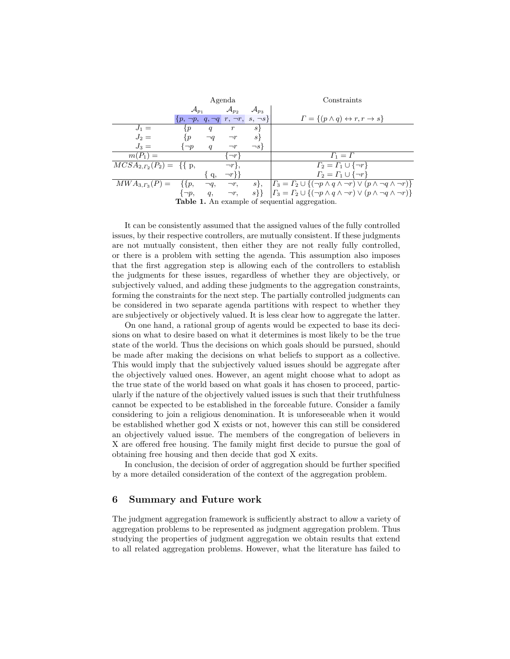|                                                       | Agenda                                           |           |                     |                      | Constraints                                                                                                      |
|-------------------------------------------------------|--------------------------------------------------|-----------|---------------------|----------------------|------------------------------------------------------------------------------------------------------------------|
|                                                       | $\mathcal{A}_{p_1}$                              |           | $\mathcal{A}_{p_2}$ | $\mathcal{A}_{p_3}$  |                                                                                                                  |
|                                                       | $\{p, \neg p, q, \neg q, r, \neg r, s, \neg s\}$ |           |                     |                      | $\Gamma = \{ (p \wedge q) \leftrightarrow r, r \to s \}$                                                         |
| $J_1 =$                                               | $\{p\}$                                          | q         | r                   | s <sub>1</sub>       |                                                                                                                  |
| $J_2=$                                                | $\{p\}$                                          | $\neg q$  | $\neg r$            | $s\}$                |                                                                                                                  |
| $J_3=$                                                | $\neg p$                                         | q         | $\neg r$            | $\neg s$             |                                                                                                                  |
| $m(P_1) =$                                            |                                                  |           | $\neg r$            |                      | $\Gamma_1=\Gamma$                                                                                                |
| $MCSA_{2,\Gamma_2}(P_2) = \{ \}$ p,                   |                                                  |           | $\neg r$ ,          |                      | $\Gamma_2 = \Gamma_1 \cup {\neg r}$                                                                              |
|                                                       |                                                  | q,        | $\neg r$ }}         |                      | $\Gamma_2 = \Gamma_1 \cup {\neg r}$                                                                              |
| $MWA_{3,\Gamma_3}(P) =$                               | $\{ \}p,$                                        | $\neg q,$ | $\neg r$ ,          | $s\},\,$             | $\left  \Gamma_3 = \Gamma_2 \cup \{ (\neg p \land q \land \neg r) \lor (p \land \neg q \land \neg r) \} \right $ |
|                                                       | $\{\neg p,$                                      | q,        |                     | $\neg r, \qquad s\}$ | $\left  \Gamma_3 = \Gamma_2 \cup \{ (\neg p \land q \land \neg r) \lor (p \land \neg q \land \neg r) \} \right $ |
| <b>Table 1.</b> An example of sequential aggregation. |                                                  |           |                     |                      |                                                                                                                  |

It can be consistently assumed that the assigned values of the fully controlled issues, by their respective controllers, are mutually consistent. If these judgments are not mutually consistent, then either they are not really fully controlled, or there is a problem with setting the agenda. This assumption also imposes that the first aggregation step is allowing each of the controllers to establish the judgments for these issues, regardless of whether they are objectively, or subjectively valued, and adding these judgments to the aggregation constraints, forming the constraints for the next step. The partially controlled judgments can be considered in two separate agenda partitions with respect to whether they are subjectively or objectively valued. It is less clear how to aggregate the latter.

On one hand, a rational group of agents would be expected to base its decisions on what to desire based on what it determines is most likely to be the true state of the world. Thus the decisions on which goals should be pursued, should be made after making the decisions on what beliefs to support as a collective. This would imply that the subjectively valued issues should be aggregate after the objectively valued ones. However, an agent might choose what to adopt as the true state of the world based on what goals it has chosen to proceed, particularly if the nature of the objectively valued issues is such that their truthfulness cannot be expected to be established in the forceable future. Consider a family considering to join a religious denomination. It is unforeseeable when it would be established whether god X exists or not, however this can still be considered an objectively valued issue. The members of the congregation of believers in X are offered free housing. The family might first decide to pursue the goal of obtaining free housing and then decide that god X exits.

In conclusion, the decision of order of aggregation should be further specified by a more detailed consideration of the context of the aggregation problem.

#### 6 Summary and Future work

The judgment aggregation framework is sufficiently abstract to allow a variety of aggregation problems to be represented as judgment aggregation problem. Thus studying the properties of judgment aggregation we obtain results that extend to all related aggregation problems. However, what the literature has failed to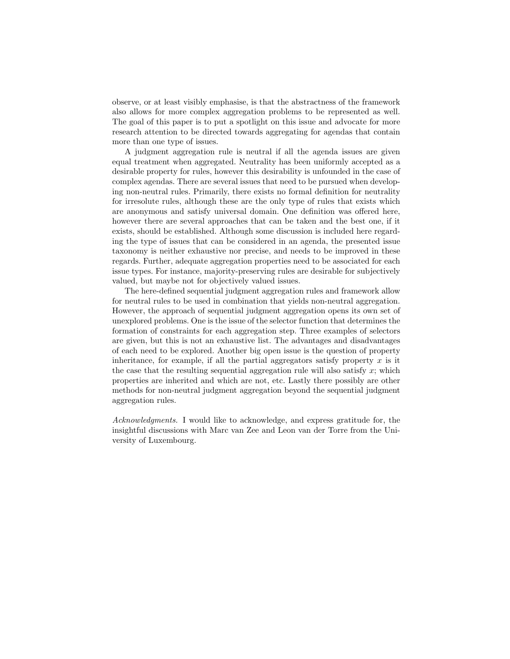observe, or at least visibly emphasise, is that the abstractness of the framework also allows for more complex aggregation problems to be represented as well. The goal of this paper is to put a spotlight on this issue and advocate for more research attention to be directed towards aggregating for agendas that contain more than one type of issues.

A judgment aggregation rule is neutral if all the agenda issues are given equal treatment when aggregated. Neutrality has been uniformly accepted as a desirable property for rules, however this desirability is unfounded in the case of complex agendas. There are several issues that need to be pursued when developing non-neutral rules. Primarily, there exists no formal definition for neutrality for irresolute rules, although these are the only type of rules that exists which are anonymous and satisfy universal domain. One definition was offered here, however there are several approaches that can be taken and the best one, if it exists, should be established. Although some discussion is included here regarding the type of issues that can be considered in an agenda, the presented issue taxonomy is neither exhaustive nor precise, and needs to be improved in these regards. Further, adequate aggregation properties need to be associated for each issue types. For instance, majority-preserving rules are desirable for subjectively valued, but maybe not for objectively valued issues.

The here-defined sequential judgment aggregation rules and framework allow for neutral rules to be used in combination that yields non-neutral aggregation. However, the approach of sequential judgment aggregation opens its own set of unexplored problems. One is the issue of the selector function that determines the formation of constraints for each aggregation step. Three examples of selectors are given, but this is not an exhaustive list. The advantages and disadvantages of each need to be explored. Another big open issue is the question of property inheritance, for example, if all the partial aggregators satisfy property  $x$  is it the case that the resulting sequential aggregation rule will also satisfy  $x$ ; which properties are inherited and which are not, etc. Lastly there possibly are other methods for non-neutral judgment aggregation beyond the sequential judgment aggregation rules.

Acknowledgments. I would like to acknowledge, and express gratitude for, the insightful discussions with Marc van Zee and Leon van der Torre from the University of Luxembourg.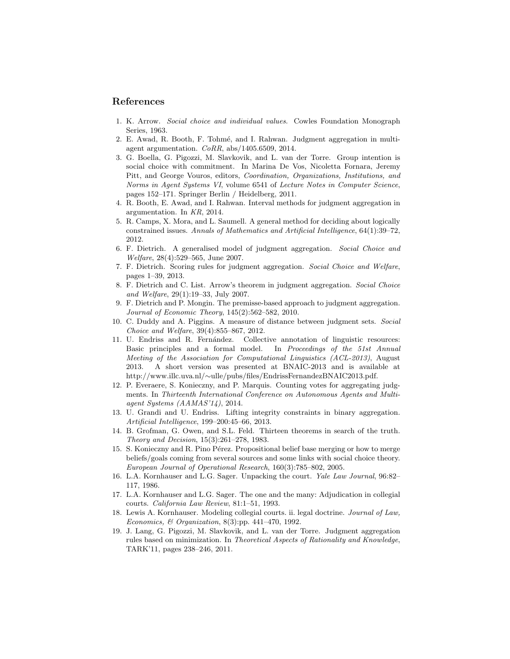#### References

- 1. K. Arrow. Social choice and individual values. Cowles Foundation Monograph Series, 1963.
- 2. E. Awad, R. Booth, F. Tohmé, and I. Rahwan. Judgment aggregation in multiagent argumentation.  $CoRR$ , abs/1405.6509, 2014.
- 3. G. Boella, G. Pigozzi, M. Slavkovik, and L. van der Torre. Group intention is social choice with commitment. In Marina De Vos, Nicoletta Fornara, Jeremy Pitt, and George Vouros, editors, Coordination, Organizations, Institutions, and Norms in Agent Systems VI, volume 6541 of Lecture Notes in Computer Science, pages 152–171. Springer Berlin / Heidelberg, 2011.
- 4. R. Booth, E. Awad, and I. Rahwan. Interval methods for judgment aggregation in argumentation. In KR, 2014.
- 5. R. Camps, X. Mora, and L. Saumell. A general method for deciding about logically constrained issues. Annals of Mathematics and Artificial Intelligence, 64(1):39–72, 2012.
- 6. F. Dietrich. A generalised model of judgment aggregation. Social Choice and Welfare, 28(4):529–565, June 2007.
- 7. F. Dietrich. Scoring rules for judgment aggregation. Social Choice and Welfare, pages 1–39, 2013.
- 8. F. Dietrich and C. List. Arrow's theorem in judgment aggregation. Social Choice and Welfare, 29(1):19–33, July 2007.
- 9. F. Dietrich and P. Mongin. The premisse-based approach to judgment aggregation. Journal of Economic Theory, 145(2):562–582, 2010.
- 10. C. Duddy and A. Piggins. A measure of distance between judgment sets. Social Choice and Welfare, 39(4):855–867, 2012.
- 11. U. Endriss and R. Fernández. Collective annotation of linguistic resources: Basic principles and a formal model. In Proceedings of the 51st Annual Meeting of the Association for Computational Linguistics (ACL-2013), August 2013. A short version was presented at BNAIC-2013 and is available at http://www.illc.uva.nl/∼ulle/pubs/files/EndrissFernandezBNAIC2013.pdf.
- 12. P. Everaere, S. Konieczny, and P. Marquis. Counting votes for aggregating judgments. In Thirteenth International Conference on Autonomous Agents and Multiagent Systems (AAMAS'14), 2014.
- 13. U. Grandi and U. Endriss. Lifting integrity constraints in binary aggregation. Artificial Intelligence, 199–200:45–66, 2013.
- 14. B. Grofman, G. Owen, and S.L. Feld. Thirteen theorems in search of the truth. Theory and Decision, 15(3):261–278, 1983.
- 15. S. Konieczny and R. Pino Pérez. Propositional belief base merging or how to merge beliefs/goals coming from several sources and some links with social choice theory. European Journal of Operational Research, 160(3):785–802, 2005.
- 16. L.A. Kornhauser and L.G. Sager. Unpacking the court. Yale Law Journal, 96:82– 117, 1986.
- 17. L.A. Kornhauser and L.G. Sager. The one and the many: Adjudication in collegial courts. California Law Review, 81:1–51, 1993.
- 18. Lewis A. Kornhauser. Modeling collegial courts. ii. legal doctrine. Journal of Law, Economics, & Organization, 8(3):pp. 441–470, 1992.
- 19. J. Lang, G. Pigozzi, M. Slavkovik, and L. van der Torre. Judgment aggregation rules based on minimization. In Theoretical Aspects of Rationality and Knowledge, TARK'11, pages 238–246, 2011.